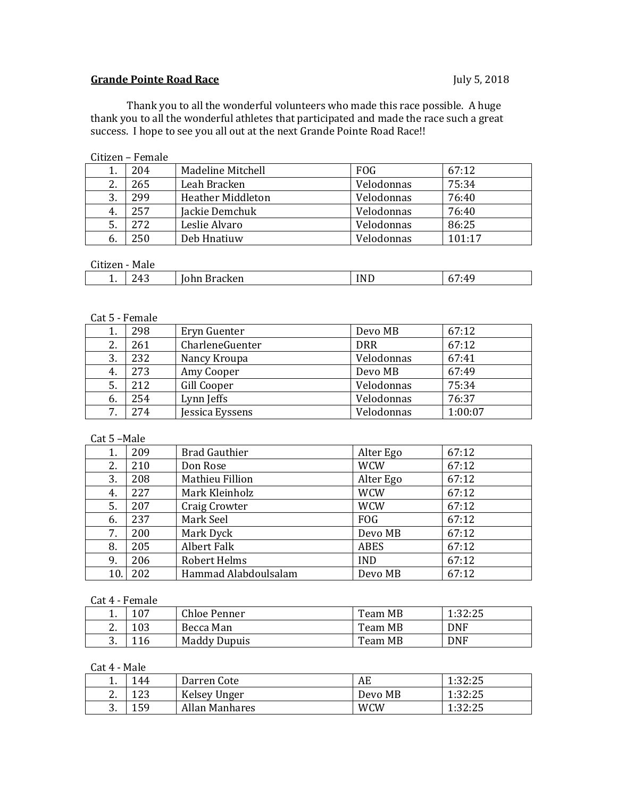## **Grande Pointe Road Race** July 5, 2018

Thank you to all the wonderful volunteers who made this race possible. A huge thank you to all the wonderful athletes that participated and made the race such a great success. I hope to see you all out at the next Grande Pointe Road Race!!

| GRILIZONI – I GRILIATO |     |                          |            |        |
|------------------------|-----|--------------------------|------------|--------|
|                        | 204 | Madeline Mitchell        | <b>FOG</b> | 67:12  |
| 2.                     | 265 | Leah Bracken             | Velodonnas | 75:34  |
| 3.                     | 299 | <b>Heather Middleton</b> | Velodonnas | 76:40  |
| 4.                     | 257 | Jackie Demchuk           | Velodonnas | 76:40  |
| 5.                     | 272 | Leslie Alvaro            | Velodonnas | 86:25  |
| 6.                     | 250 | Deb Hnatiuw              | Velodonnas | 101:17 |

### Citizen – Female

# $C<sub>trizon</sub>$  - Male

| מפלוזו<br>Male<br>GIUZEII      |                          |        |                      |  |  |
|--------------------------------|--------------------------|--------|----------------------|--|--|
| $\sim$<br>Δ<br><u>.</u><br>. . | sracken<br>.<br>энн<br>້ | NΓ<br> | $-AC$<br>∽<br>.<br>ັ |  |  |

#### Cat 5 - Female

|    | 298 | Eryn Guenter    | Devo MB    | 67:12   |
|----|-----|-----------------|------------|---------|
| 2. | 261 | CharleneGuenter | <b>DRR</b> | 67:12   |
| 3. | 232 | Nancy Kroupa    | Velodonnas | 67:41   |
| 4. | 273 | Amy Cooper      | Devo MB    | 67:49   |
| 5. | 212 | Gill Cooper     | Velodonnas | 75:34   |
| 6. | 254 | Lynn Jeffs      | Velodonnas | 76:37   |
| 7  | 274 | Jessica Eyssens | Velodonnas | 1:00:07 |

### Cat 5 –Male

| 1.  | 209 | <b>Brad Gauthier</b> | Alter Ego   | 67:12 |
|-----|-----|----------------------|-------------|-------|
| 2.  | 210 | Don Rose             | <b>WCW</b>  | 67:12 |
| 3.  | 208 | Mathieu Fillion      | Alter Ego   | 67:12 |
| 4.  | 227 | Mark Kleinholz       | <b>WCW</b>  | 67:12 |
| 5.  | 207 | Craig Crowter        | <b>WCW</b>  | 67:12 |
| 6.  | 237 | Mark Seel            | <b>FOG</b>  | 67:12 |
| 7.  | 200 | Mark Dyck            | Devo MB     | 67:12 |
| 8.  | 205 | Albert Falk          | <b>ABES</b> | 67:12 |
| 9.  | 206 | Robert Helms         | <b>IND</b>  | 67:12 |
| 10. | 202 | Hammad Alabdoulsalam | Devo MB     | 67:12 |

#### Cat 4 - Female

| .<br>.   |     |                     |         |            |  |
|----------|-----|---------------------|---------|------------|--|
| <b>.</b> | 107 | Chloe Penner        | Team MB | 1:32:25    |  |
| <u>.</u> | 103 | Becca Man           | Team MB | <b>DNF</b> |  |
| ົ<br>J.  | 116 | <b>Maddy Dupuis</b> | Team MB | <b>DNF</b> |  |

#### Cat 4 - Male

| . .           | 144 | Darren Cote    | AE         | 1:32:25 |
|---------------|-----|----------------|------------|---------|
| ◠<br><u>.</u> | 123 | Kelsey Unger   | Devo MB    | 1:32:25 |
| ົ<br>o.       | 159 | Allan Manhares | <b>WCW</b> | 1:32:25 |